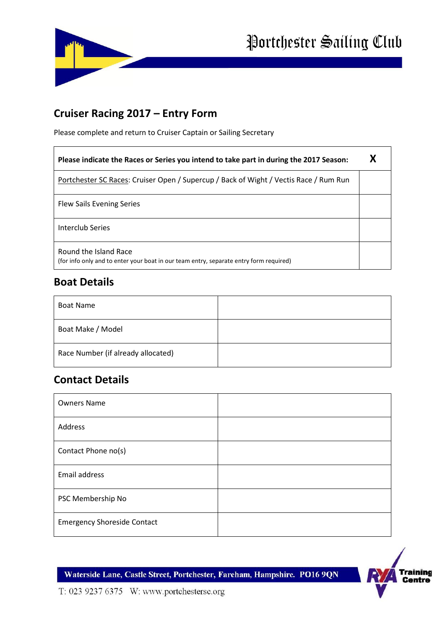



## **Cruiser Racing 2017 – Entry Form**

Please complete and return to Cruiser Captain or Sailing Secretary

| Please indicate the Races or Series you intend to take part in during the 2017 Season:                          |  |
|-----------------------------------------------------------------------------------------------------------------|--|
| Portchester SC Races: Cruiser Open / Supercup / Back of Wight / Vectis Race / Rum Run                           |  |
| <b>Flew Sails Evening Series</b>                                                                                |  |
| Interclub Series                                                                                                |  |
| Round the Island Race<br>(for info only and to enter your boat in our team entry, separate entry form required) |  |

#### **Boat Details**

 $\mathsf{r}$ 

| <b>Boat Name</b>                   |  |
|------------------------------------|--|
| Boat Make / Model                  |  |
| Race Number (if already allocated) |  |

## **Contact Details**

| <b>Owners Name</b>                 |  |
|------------------------------------|--|
| Address                            |  |
| Contact Phone no(s)                |  |
| Email address                      |  |
| PSC Membership No                  |  |
| <b>Emergency Shoreside Contact</b> |  |

Waterside Lane, Castle Street, Portchester, Fareham, Hampshire. PO16 9QN